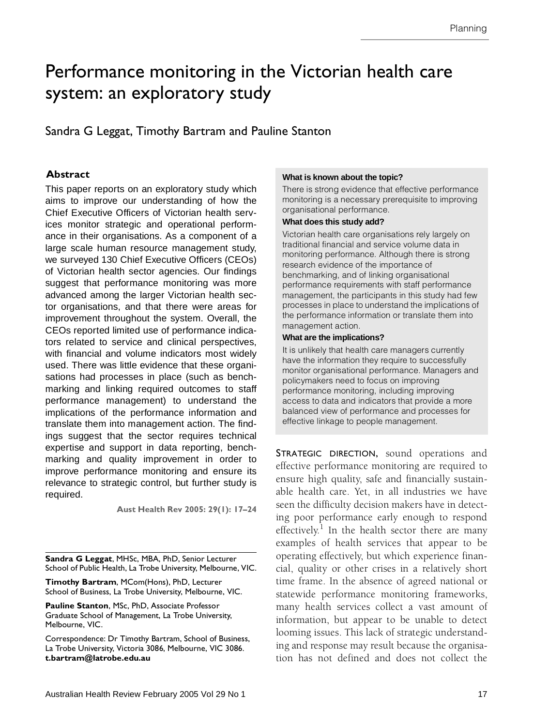# <span id="page-0-0"></span>Performance monitoring in the Victorian health care system: an exploratory study

Sandra G Leggat, Timothy Bartram and Pauline Stanton

#### **Abstract**

Chief Executive Officers of Victorian health services monitor strategic an[d o](#page-7-1)perational performance in their organisations. As a component of a large scale human resource management study, ange esais naman ressurse management stady,<br>we surveyed 130 Chief Executive Officers (CEOs) This paper reports on an exploratory study which aims to improve our understanding of how the of Victorian health sector agencies. Our findings suggest that performance monitoring was more advanced among the larger Victorian health sector organisations, and that there were areas for improvement throughout the system. Overall, the CEOs reported limited use of performance indicators related to service and clinical perspectives, with financial and volume indicators most widely used. There was little evidence that these organisations had processes in place (such as benchmarking and linking required outcomes to staff performance management) to understand the implications of the performance information and translate them into management action. The findings suggest that the sector requires technical expertise and support in data reporting, benchmarking and quality improvement in order to improve performance monitoring and ensure its relevance to strategic control, but further study is required.

**Aust Health Rev 2005: 29(1): 17–24**

**Sandra G Leggat**, MHSc, MBA, PhD, Senior Lecturer School of Public Health, La Trobe University, Melbourne, VIC.

**Timothy Bartram**, MCom(Hons), PhD, Lecturer School of Business, La Trobe University, Melbourne, VIC.

**Pauline Stanton**, MSc, PhD, Associate Professor Graduate School of Management, La Trobe University, Melbourne, VIC.

Correspondence: Dr Timothy Bartram, School of Business, La Trobe University, Victoria 3086, Melbourne, VIC 3086. **t.bartram@latrobe.edu.au**

#### **What is known about the topic?**

There is strong evidence that effective performance monitoring is a necessary prerequisite to improving organisational performance.

#### **What does this study add?**

Victorian health care organisations rely largely on traditional financial and service volume data in monitoring performance. Although there is strong research evidence of the importance of benchmarking, and of linking organisational performance requirements with staff performance management, the participants in this study had few processes in place to understand the implications of the performance information or translate them into management action.

#### **What are the implications?**

It is unlikely that health care managers currently have the information they require to successfully monitor organisational performance. Managers and policymakers need to focus on improving performance monitoring, including improving access to data and indicators that provide a more balanced view of performance and processes for effective linkage to people management.

STRATEGIC DIRECTION, sound operations and effective performance monitoring are required to ensure high quality, safe and financially sustainable health care. Yet, in all industries we have seen the difficulty decision makers have in detecting poor performance early enough to respond effectively.<sup>[1](#page-7-0)</sup> In the health sector there are many examples of health services that appear to be operating effectively, but which experience financial, quality or other crises in a relatively short time frame. In the absence of agreed national or statewide performance monitoring frameworks, many health services collect a vast amount of information, but appear to be unable to detect looming issues. This lack of strategic understanding and response may result because the organisation has not defined and does not collect the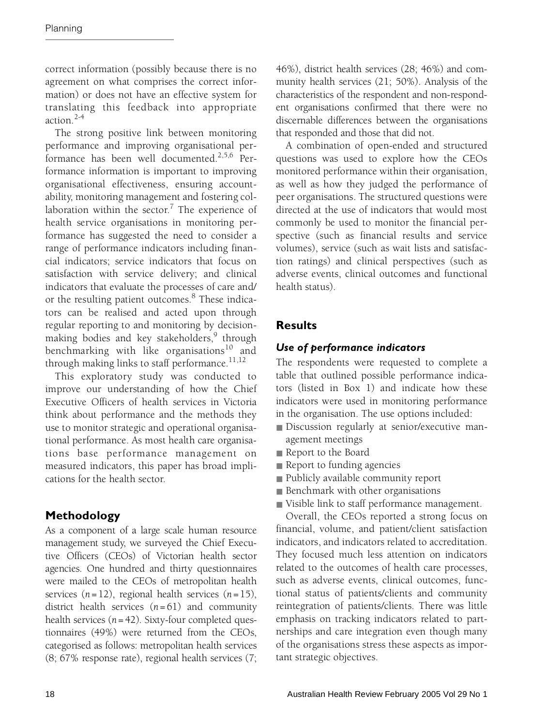correct information (possibly because there is no agreement on what comprises the correct information) or does not have an effective system for translating this feedback into appropriate action $2-4$  $2-4$ 

The strong positive link between monitoring performance and improving organisational performance has been well documented.[2,](#page-7-2)[5](#page-7-4),[6](#page-7-5) Performance information is important to improving organisational effectiveness, ensuring accountability, monitoring management and fostering col-laboration within the sector.<sup>[7](#page-7-6)</sup> The experience of health service organisations in monitoring performance has suggested the need to consider a range of performance indicators including financial indicators; service indicators that focus on satisfaction with service delivery; and clinical indicators that evaluate the processes of care and/ or the resulting patient outcomes.<sup>[8](#page-7-7)</sup> These indicators can be realised and acted upon through regular reporting to and monitoring by decision-making bodies and key stakeholders,<sup>[9](#page-7-8)</sup> through benchmarking with like organisations<sup>[10](#page-7-9)</sup> and through making links to staff performance.<sup>[11,](#page-7-10)[12](#page-7-11)</sup>

This exploratory study was conducted to improve our understanding of how the Chief Executive Officers of health services in Victoria think about performance and the methods they use to monitor strategic and operational organisational performance. As most health care organisations base performance management on measured indicators, this paper has broad implications for the health sector.

# **Methodology**

As a component of a large scale human resource management study, we surveyed the Chief Executive Officers (CEOs) of Victorian health sector agencies. One hundred and thirty questionnaires were mailed to the CEOs of metropolitan health services (*n*=12), regional health services (*n*=15), district health services (*n*= 61) and community health services  $(n = 42)$ . Sixty-four completed questionnaires (49%) were returned from the CEOs, categorised as follows: metropolitan health services (8; 67% response rate), regional health services (7; 46%), district health services (28; 46%) and community health services (21; 50%). Analysis of the characteristics of the respondent and non-respondent organisations confirmed that there were no discernable differences between the organisations that responded and those that did not.

A combination of open-ended and structured questions was used to explore how the CEOs monitored performance within their organisation, as well as how they judged the performance of peer organisations. The structured questions were directed at the use of indicators that would most commonly be used to monitor the financial perspective (such as financial results and service volumes), service (such as wait lists and satisfaction ratings) and clinical perspectives (such as adverse events, clinical outcomes and functional health status).

# **Results**

# *Use of performance indicators*

The respondents were requested to complete a table that outlined possible performance indicators (listed in [Box 1\)](#page-2-0) and indicate how these indicators were used in monitoring performance in the organisation. The use options included:

- Discussion regularly at senior/executive management meetings
- Report to the Board
- Report to funding agencies
- Publicly available community report
- Benchmark with other organisations
- Visible link to staff performance management.

Overall, the CEOs reported a strong focus on financial, volume, and patient/client satisfaction indicators, and indicators related to accreditation. They focused much less attention on indicators related to the outcomes of health care processes, such as adverse events, clinical outcomes, functional status of patients/clients and community reintegration of patients/clients. There was little emphasis on tracking indicators related to partnerships and care integration even though many of the organisations stress these aspects as important strategic objectives.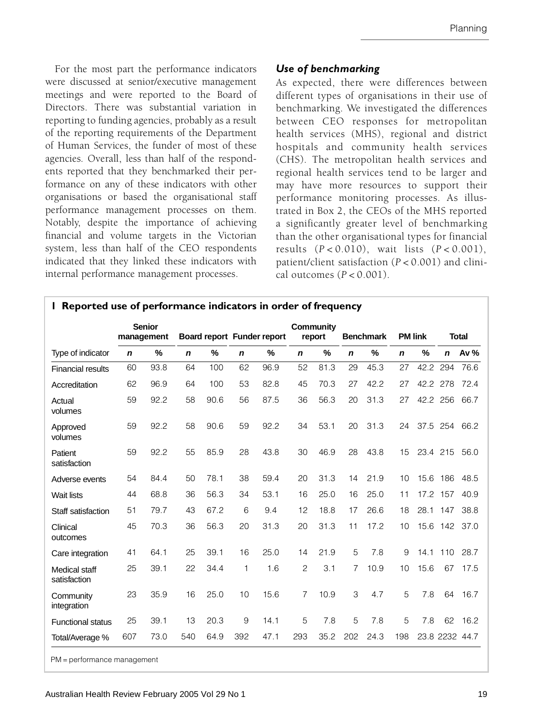For the most part the performance indicators were discussed at senior/executive management meetings and were reported to the Board of Directors. There was substantial variation in reporting to funding agencies, probably as a result of the reporting requirements of the Department of Human Services, the funder of most of these agencies. Overall, less than half of the respondents reported that they benchmarked their performance on any of these indicators with other organisations or based the organisational staff performance management processes on them. Notably, despite the importance of achieving financial and volume targets in the Victorian system, less than half of the CEO respondents indicated that they linked these indicators with internal performance management processes.

## *Use of benchmarking*

As expected, there were differences between different types of organisations in their use of benchmarking. We investigated the differences between CEO responses for metropolitan health services (MHS), regional and district hospitals and community health services (CHS). The metropolitan health services and regional health services tend to be larger and may have more resources to support their performance monitoring processes. As illustrated in [Box 2](#page-3-0), the CEOs of the MHS reported a significantly greater level of benchmarking than the other organisational types for financial results (*P* < 0.010), wait lists (*P* < 0.001), patient/client satisfaction (*P* < 0.001) and clinical outcomes (*P* < 0.001).

<span id="page-2-0"></span>

|                               | <b>Senior</b><br>management |      | Board report Funder report |      |             | Community<br>report<br><b>Benchmark</b> |                |      |             |      |                |          |              |                |
|-------------------------------|-----------------------------|------|----------------------------|------|-------------|-----------------------------------------|----------------|------|-------------|------|----------------|----------|--------------|----------------|
|                               |                             |      |                            |      |             |                                         |                |      |             |      | <b>PM link</b> |          | <b>Total</b> |                |
| Type of indicator             | $\mathbf n$                 | %    | $\mathbf n$                | $\%$ | $\mathbf n$ | %                                       | $\mathbf n$    | $\%$ | $\mathbf n$ | %    | $\mathbf n$    | %        | n            | Av %           |
| <b>Financial results</b>      | 60                          | 93.8 | 64                         | 100  | 62          | 96.9                                    | 52             | 81.3 | 29          | 45.3 | 27             | 42.2 294 |              | 76.6           |
| Accreditation                 | 62                          | 96.9 | 64                         | 100  | 53          | 82.8                                    | 45             | 70.3 | 27          | 42.2 | 27             | 42.2 278 |              | 72.4           |
| Actual<br>volumes             | 59                          | 92.2 | 58                         | 90.6 | 56          | 87.5                                    | 36             | 56.3 | 20          | 31.3 | 27             | 42.2 256 |              | 66.7           |
| Approved<br>volumes           | 59                          | 92.2 | 58                         | 90.6 | 59          | 92.2                                    | 34             | 53.1 | 20          | 31.3 | 24             |          | 37.5 254     | 66.2           |
| Patient<br>satisfaction       | 59                          | 92.2 | 55                         | 85.9 | 28          | 43.8                                    | 30             | 46.9 | 28          | 43.8 | 15             | 23.4 215 |              | 56.0           |
| Adverse events                | 54                          | 84.4 | 50                         | 78.1 | 38          | 59.4                                    | 20             | 31.3 | 14          | 21.9 | 10             | 15.6     | 186          | 48.5           |
| <b>Wait lists</b>             | 44                          | 68.8 | 36                         | 56.3 | 34          | 53.1                                    | 16             | 25.0 | 16          | 25.0 | 11             | 17.2 157 |              | 40.9           |
| Staff satisfaction            | 51                          | 79.7 | 43                         | 67.2 | 6           | 9.4                                     | 12             | 18.8 | 17          | 26.6 | 18             | 28.1 147 |              | 38.8           |
| Clinical<br>outcomes          | 45                          | 70.3 | 36                         | 56.3 | 20          | 31.3                                    | 20             | 31.3 | 11          | 17.2 | 10             |          | 15.6 142     | 37.0           |
| Care integration              | 41                          | 64.1 | 25                         | 39.1 | 16          | 25.0                                    | 14             | 21.9 | 5           | 7.8  | 9              |          | 14.1 110     | 28.7           |
| Medical staff<br>satisfaction | 25                          | 39.1 | 22                         | 34.4 | 1           | 1.6                                     | $\overline{c}$ | 3.1  | 7           | 10.9 | 10             | 15.6     | 67           | 17.5           |
| Community<br>integration      | 23                          | 35.9 | 16                         | 25.0 | 10          | 15.6                                    | 7              | 10.9 | 3           | 4.7  | 5              | 7.8      | 64           | 16.7           |
| <b>Functional status</b>      | 25                          | 39.1 | 13                         | 20.3 | 9           | 14.1                                    | 5              | 7.8  | 5           | 7.8  | 5              | 7.8      | 62           | 16.2           |
| Total/Average %               | 607                         | 73.0 | 540                        | 64.9 | 392         | 47.1                                    | 293            | 35.2 | 202         | 24.3 | 198            |          |              | 23.8 2232 44.7 |

PM = performance management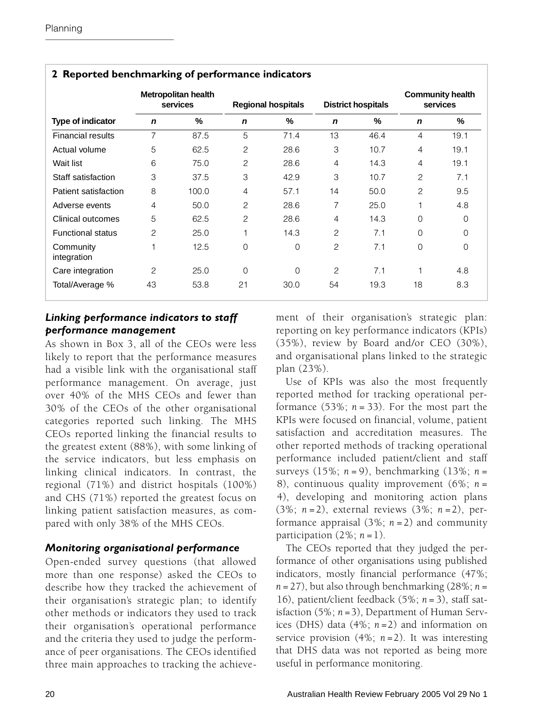|                          | Metropolitan health<br>services |       |                | <b>Regional hospitals</b> |                | <b>District hospitals</b> | <b>Community health</b><br>services |          |
|--------------------------|---------------------------------|-------|----------------|---------------------------|----------------|---------------------------|-------------------------------------|----------|
| <b>Type of indicator</b> | $\mathbf n$                     | %     | $\mathbf n$    | %                         | $\mathbf n$    | %                         | $\mathbf n$                         | %        |
| <b>Financial results</b> | 7                               | 87.5  | 5              | 71.4                      | 13             | 46.4                      | $\overline{4}$                      | 19.1     |
| Actual volume            | 5                               | 62.5  | $\overline{c}$ | 28.6                      | 3              | 10.7                      | 4                                   | 19.1     |
| Wait list                | 6                               | 75.0  | 2              | 28.6                      | $\overline{4}$ | 14.3                      | 4                                   | 19.1     |
| Staff satisfaction       | 3                               | 37.5  | 3              | 42.9                      | 3              | 10.7                      | $\overline{c}$                      | 7.1      |
| Patient satisfaction     | 8                               | 100.0 | 4              | 57.1                      | 14             | 50.0                      | 2                                   | 9.5      |
| Adverse events           | $\overline{4}$                  | 50.0  | 2              | 28.6                      | 7              | 25.0                      |                                     | 4.8      |
| Clinical outcomes        | 5                               | 62.5  | 2              | 28.6                      | $\overline{4}$ | 14.3                      | 0                                   | 0        |
| <b>Functional status</b> | $\overline{c}$                  | 25.0  | 1              | 14.3                      | $\mathfrak{p}$ | 7.1                       | 0                                   | 0        |
| Community<br>integration | 1                               | 12.5  | $\Omega$       | $\Omega$                  | $\mathfrak{p}$ | 7.1                       | 0                                   | $\Omega$ |
| Care integration         | 2                               | 25.0  | $\Omega$       | $\Omega$                  | $\mathfrak{p}$ | 7.1                       |                                     | 4.8      |
| Total/Average %          | 43                              | 53.8  | 21             | 30.0                      | 54             | 19.3                      | 18                                  | 8.3      |

#### <span id="page-3-0"></span>**2 Reported benchmarking of performance indicators**

#### *Linking performance indicators to staff performance management*

As shown in [Box 3,](#page-4-0) all of the CEOs were less likely to report that the performance measures had a visible link with the organisational staff performance management. On average, just over 40% of the MHS CEOs and fewer than 30% of the CEOs of the other organisational categories reported such linking. The MHS CEOs reported linking the financial results to the greatest extent (88%), with some linking of the service indicators, but less emphasis on linking clinical indicators. In contrast, the regional (71%) and district hospitals (100%) and CHS (71%) reported the greatest focus on linking patient satisfaction measures, as compared with only 38% of the MHS CEOs.

## *Monitoring organisational performance*

Open-ended survey questions (that allowed more than one response) asked the CEOs to describe how they tracked the achievement of their organisation's strategic plan; to identify other methods or indicators they used to track their organisation's operational performance and the criteria they used to judge the performance of peer organisations. The CEOs identified three main approaches to tracking the achievement of their organisation's strategic plan: reporting on key performance indicators (KPIs) (35%), review by Board and/or CEO (30%), and organisational plans linked to the strategic plan (23%).

Use of KPIs was also the most frequently reported method for tracking operational performance  $(53\%; n = 33)$ . For the most part the KPIs were focused on financial, volume, patient satisfaction and accreditation measures. The other reported methods of tracking operational performance included patient/client and staff surveys (15%; *n* = 9), benchmarking (13%; *n* = 8), continuous quality improvement (6%; *n* = 4), developing and monitoring action plans (3%; *n* =2), external reviews (3%; *n* =2), performance appraisal (3%; *n* = 2) and community participation  $(2\%; n=1)$ .

The CEOs reported that they judged the performance of other organisations using published indicators, mostly financial performance (47%;  $n = 27$ ), but also through benchmarking  $(28\%; n =$ 16), patient/client feedback (5%; *n* = 3), staff satisfaction (5%; *n* =3), Department of Human Services (DHS) data (4%; *n* =2) and information on service provision (4%; *n* =2). It was interesting that DHS data was not reported as being more useful in performance monitoring.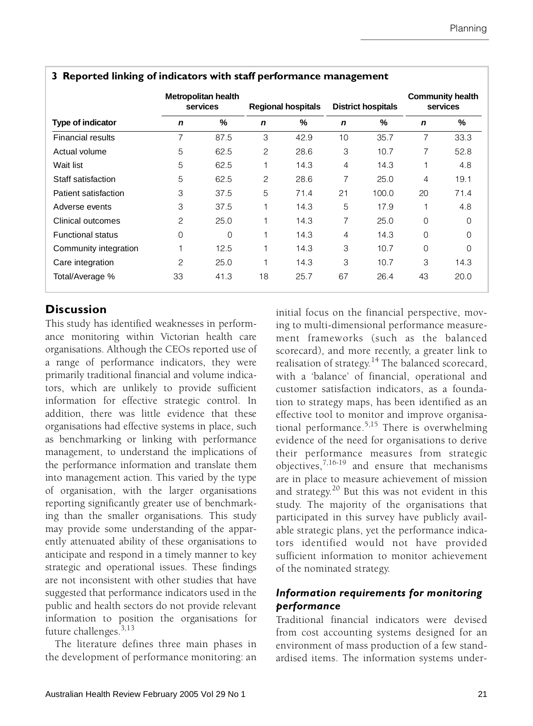|                          |             | Metropolitan health<br>services |             | <b>Regional hospitals</b> |             | <b>District hospitals</b> | <b>Community health</b><br>services |          |
|--------------------------|-------------|---------------------------------|-------------|---------------------------|-------------|---------------------------|-------------------------------------|----------|
| <b>Type of indicator</b> | $\mathbf n$ | %                               | $\mathbf n$ | %                         | $\mathbf n$ | %                         | n                                   | %        |
| <b>Financial results</b> | 7           | 87.5                            | 3           | 42.9                      | 10          | 35.7                      | $\overline{7}$                      | 33.3     |
| Actual volume            | 5           | 62.5                            | 2           | 28.6                      | 3           | 10.7                      | 7                                   | 52.8     |
| Wait list                | 5           | 62.5                            | 1           | 14.3                      | 4           | 14.3                      | 1                                   | 4.8      |
| Staff satisfaction       | 5           | 62.5                            | 2           | 28.6                      | 7           | 25.0                      | 4                                   | 19.1     |
| Patient satisfaction     | 3           | 37.5                            | 5           | 71.4                      | 21          | 100.0                     | 20                                  | 71.4     |
| Adverse events           | 3           | 37.5                            | 1           | 14.3                      | 5           | 17.9                      | 1                                   | 4.8      |
| Clinical outcomes        | 2           | 25.0                            | 1           | 14.3                      | 7           | 25.0                      | $\Omega$                            | 0        |
| <b>Functional status</b> | 0           | $\Omega$                        | 1           | 14.3                      | 4           | 14.3                      | $\Omega$                            | $\Omega$ |
| Community integration    | 1           | 12.5                            |             | 14.3                      | 3           | 10.7                      | $\Omega$                            | 0        |
| Care integration         | 2           | 25.0                            | 1           | 14.3                      | 3           | 10.7                      | 3                                   | 14.3     |
| Total/Average %          | 33          | 41.3                            | 18          | 25.7                      | 67          | 26.4                      | 43                                  | 20.0     |

#### <span id="page-4-0"></span>**3 Reported linking of indicators with staff performance management**

## **Discussion**

This study has identified weaknesses in performance monitoring within Victorian health care organisations. Although the CEOs reported use of a range of performance indicators, they were primarily traditional financial and volume indicators, which are unlikely to provide sufficient information for effective strategic control. In addition, there was little evidence that these organisations had effective systems in place, such as benchmarking or linking with performance management, to understand the implications of the performance information and translate them into management action. This varied by the type of organisation, with the larger organisations reporting significantly greater use of benchmarking than the smaller organisations. This study may provide some understanding of the apparently attenuated ability of these organisations to anticipate and respond in a timely manner to key strategic and operational issues. These findings are not inconsistent with other studies that have suggested that performance indicators used in the public and health sectors do not provide relevant information to position the organisations for future challenges.<sup>[3,](#page-7-12)[13](#page-7-13)</sup>

The literature defines three main phases in the development of performance monitoring: an initial focus on the financial perspective, moving to multi-dimensional performance measurement frameworks (such as the balanced scorecard), and more recently, a greater link to realisation of strategy.[14](#page-7-14) The balanced scorecard, with a 'balance' of financial, operational and customer satisfaction indicators, as a foundation to strategy maps, has been identified as an effective tool to monitor and improve organisational performance.[5](#page-7-4),[15](#page-7-15) There is overwhelming evidence of the need for organisations to derive their performance measures from strategic objectives, $^{7,16-19}$  $^{7,16-19}$  $^{7,16-19}$  $^{7,16-19}$  $^{7,16-19}$  and ensure that mechanisms are in place to measure achievement of mission and strategy.[20](#page-7-18) But this was not evident in this study. The majority of the organisations that participated in this survey have publicly available strategic plans, yet the performance indicators identified would not have provided sufficient information to monitor achievement of the nominated strategy.

## *Information requirements for monitoring performance*

Traditional financial indicators were devised from cost accounting systems designed for an environment of mass production of a few standardised items. The information systems under-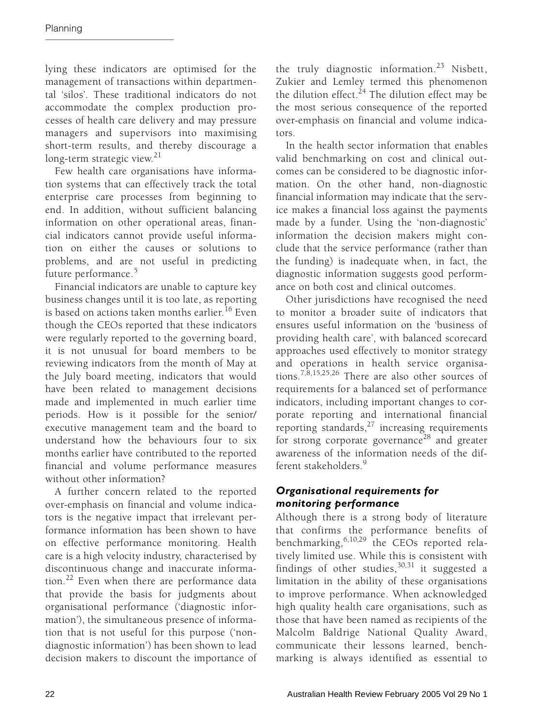lying these indicators are optimised for the management of transactions within departmental 'silos'. These traditional indicators do not accommodate the complex production processes of health care delivery and may pressure managers and supervisors into maximising short-term results, and thereby discourage a long-term strategic view.<sup>[21](#page-7-19)</sup>

Few health care organisations have information systems that can effectively track the total enterprise care processes from beginning to end. In addition, without sufficient balancing information on other operational areas, financial indicators cannot provide useful information on either the causes or solutions to problems, and are not useful in predicting future performance.<sup>[5](#page-7-4)</sup>

Financial indicators are unable to capture key business changes until it is too late, as reporting is based on actions taken months earlier.<sup>[16](#page-7-16)</sup> Even though the CEOs reported that these indicators were regularly reported to the governing board, it is not unusual for board members to be reviewing indicators from the month of May at the July board meeting, indicators that would have been related to management decisions made and implemented in much earlier time periods. How is it possible for the senior/ executive management team and the board to understand how the behaviours four to six months earlier have contributed to the reported financial and volume performance measures without other information?

A further concern related to the reported over-emphasis on financial and volume indicators is the negative impact that irrelevant performance information has been shown to have on effective performance monitoring. Health care is a high velocity industry, characterised by discontinuous change and inaccurate information.<sup>22</sup> Even when there are performance data that provide the basis for judgments about organisational performance ('diagnostic information'), the simultaneous presence of information that is not useful for this purpose ('nondiagnostic information') has been shown to lead decision makers to discount the importance of the truly diagnostic information.<sup>[23](#page-7-21)</sup> Nisbett, Zukier and Lemley termed this phenomenon the dilution effect.<sup>24</sup> The dilution effect may be the most serious consequence of the reported over-emphasis on financial and volume indicators.

In the health sector information that enables valid benchmarking on cost and clinical outcomes can be considered to be diagnostic information. On the other hand, non-diagnostic financial information may indicate that the service makes a financial loss against the payments made by a funder. Using the 'non-diagnostic' information the decision makers might conclude that the service performance (rather than the funding) is inadequate when, in fact, the diagnostic information suggests good performance on both cost and clinical outcomes.

Other jurisdictions have recognised the need to monitor a broader suite of indicators that ensures useful information on the 'business of providing health care', with balanced scorecard approaches used effectively to monitor strategy and operations in health service organisations.[7](#page-7-6),[8,](#page-7-7)[15](#page-7-15)[,25,](#page-7-23)[26](#page-7-24) There are also other sources of requirements for a balanced set of performance indicators, including important changes to corporate reporting and international financial reporting standards, $27$  increasing requirements for strong corporate governance<sup>28</sup> and greater awareness of the information needs of the dif-ferent stakeholders<sup>[9](#page-7-8)</sup>

## *Organisational requirements for monitoring performance*

Although there is a strong body of literature that confirms the performance benefits of benchmarking, $6,10,29$  $6,10,29$  $6,10,29$  the CEOs reported relatively limited use. While this is consistent with findings of other studies,  $30,31$  $30,31$  it suggested a limitation in the ability of these organisations to improve performance. When acknowledged high quality health care organisations, such as those that have been named as recipients of the Malcolm Baldrige National Quality Award, communicate their lessons learned, benchmarking is always identified as essential to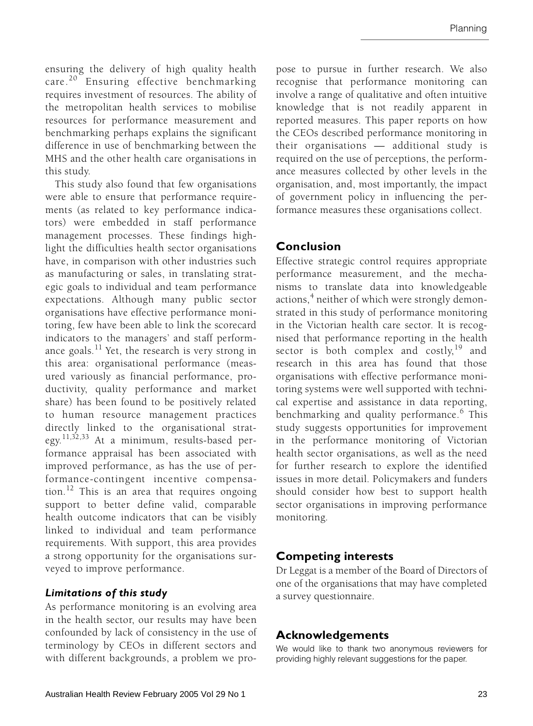ensuring the delivery of high quality health care.<sup>20</sup> Ensuring effective benchmarking requires investment of resources. The ability of the metropolitan health services to mobilise resources for performance measurement and benchmarking perhaps explains the significant difference in use of benchmarking between the MHS and the other health care organisations in this study.

This study also found that few organisations were able to ensure that performance requirements (as related to key performance indicators) were embedded in staff performance management processes. These findings highlight the difficulties health sector organisations have, in comparison with other industries such as manufacturing or sales, in translating strategic goals to individual and team performance expectations. Although many public sector organisations have effective performance monitoring, few have been able to link the scorecard indicators to the managers' and staff performance goals. $^{11}$  Yet, the research is very strong in this area: organisational performance (measured variously as financial performance, productivity, quality performance and market share) has been found to be positively related to human resource management practices directly linked to the organisational strat-egy.<sup>[11](#page-7-10)[,32](#page-7-30)[,33](#page-7-1)</sup> At a minimum, results-based performance appraisal has been associated with improved performance, as has the use of performance-contingent incentive compensation.[12](#page-7-11) This is an area that requires ongoing support to better define valid, comparable health outcome indicators that can be visibly linked to individual and team performance requirements. With support, this area provides a strong opportunity for the organisations surveyed to improve performance.

## *Limitations of this study*

As performance monitoring is an evolving area in the health sector, our results may have been confounded by lack of consistency in the use of terminology by CEOs in different sectors and with different backgrounds, a problem we propose to pursue in further research. We also recognise that performance monitoring can involve a range of qualitative and often intuitive knowledge that is not readily apparent in reported measures. This paper reports on how the CEOs described performance monitoring in their organisations — additional study is required on the use of perceptions, the performance measures collected by other levels in the organisation, and, most importantly, the impact of government policy in influencing the performance measures these organisations collect.

# **Conclusion**

Effective strategic control requires appropriate performance measurement, and the mechanisms to translate data into knowledgeable actions,<sup>[4](#page-7-3)</sup> neither of which were strongly demonstrated in this study of performance monitoring in the Victorian health care sector. It is recognised that performance reporting in the health sector is both complex and costly,  $19$  and research in this area has found that those organisations with effective performance monitoring systems were well supported with technical expertise and assistance in data reporting, benchmarking and quality performance.<sup>[6](#page-7-5)</sup> This study suggests opportunities for improvement in the performance monitoring of Victorian health sector organisations, as well as the need for further research to explore the identified issues in more detail. Policymakers and funders should consider how best to support health sector organisations in improving performance monitoring.

# **Competing interests**

Dr Leggat is a member of the Board of Directors of one of the organisations that may have completed a survey questionnaire.

# **Acknowledgements**

We would like to thank two anonymous reviewers for providing highly relevant suggestions for the paper.